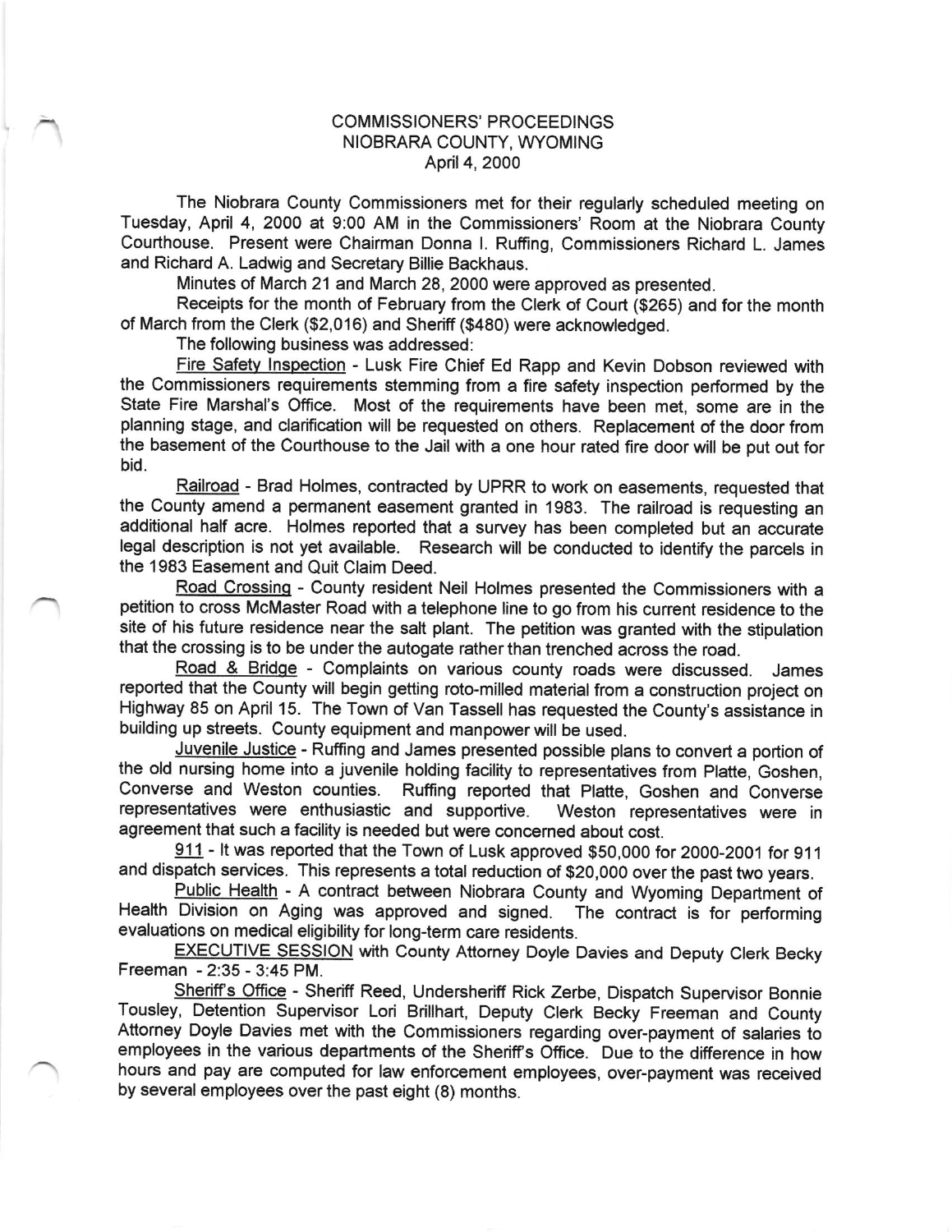## COMMISSIONERS' PROCEEDINGS NIOBRARA COUNTY, WYOMING April 4, 2000

The Niobrara County Commissioners met for their regularly scheduled meeting on Tuesday, April 4, 2000 at 9:00 AM in the Commissioners' Room at the Niobrara County Courthouse. Present were Chairman Donna l. Ruffing, Commissioners Richard L. James and Richard A. Ladwig and Secretary Billie Backhaus.

Minutes of March 21 and March 28, 2000 were approved as presented.

Receipts for the month of February from the Clerk of Court (\$265) and for the month of March from the Clerk (\$2,016) and Sheriff (\$480) were acknowledged.

The following business was addressed:

Fire Safety Inspection - Lusk Fire Chief Ed Rapp and Kevin Dobson reviewed with the Commissioners requirements stemming from a fire safety inspection performed by lhe State Fire Marshal's Office. Most of the requirements have been met, some are in the planning stage, and clarification will be requested on others. Replacement of the door from the basement of the Courthouse to the Jail with a one hour rated fire door will be put out for bid.

Railroad - Brad Holmes, contracted by UPRR to work on easements, requested that the County amend a permanent easement granted in 1983. The railroad is requesting an additional half acre. Holmes reported that a survey has been completed but an accurate legal description is not yet available. Research will be conducted to identify the parcels in the 1983 Easement and Quit Claim Deed.

Road Crossing - County resident Neil Holmes presented the Commissioners with a petition to cross McMaster Road with a telephone line to go from his current residence to the site of his future residence near the salt plant. The petition was granted with the stipulation that the crossing is to be under the autogate rather than trenched across the road.

Road & Bridge - Complaints on various county roads were discussed. James reported that the County will begin getting roto-milled material from a construction project on Highway 85 on April 15. The Town of Van Tassell has requested the County's assistance in building up streets. County equipment and manpower will be used.

Juvenile Justice - Ruffing and James presented possible plans to convert a portion of the old nursing home into a juvenile holding facility to representatives from Platte, Goshen,<br>Converse and Weston counties. Ruffing reported that Platte. Goshen and Converse Ruffing reported that Platte, Goshen and Converse<br>and supportive. Weston representatives were in representatives were enthusiastic and supportive. agreement that such a facility is needed but were concerned about cost.

911 - It was reported that the Town of Lusk approved \$50,000 for 2000-2001 for 911 and dispatch services. This represents a total reduction of \$2o,0oo over the past two years.

Public Health - A contract between Niobrara County and Wyoming Department of Division on Aging was approved and signed. The contract is for performing Health Division on Aging was approved and signed. evaluations on medical eligibility for long-lerm care residents.

EXECUTIVE SESSION with County Attorney Doyle Davies and Deputy Clerk Becky Freeman - 2:35 - 3:45 PM.

Sheriff's Office - Sheriff Reed, Undersheriff Rick Zerbe, Dispatch Supervisor Bonnie Tousley, Detention Supervisor Lori Brillhart, Deputy Clerk Becky Freeman and County Attorney Doyle Davies met with the commissioners regarding over-payment of salaries to employees in the various departments of the Sheriff's Office. Due to the difference in how hours and pay are computed for law enforcement employees, over-payment was received by several employees over the past eight (8) months.